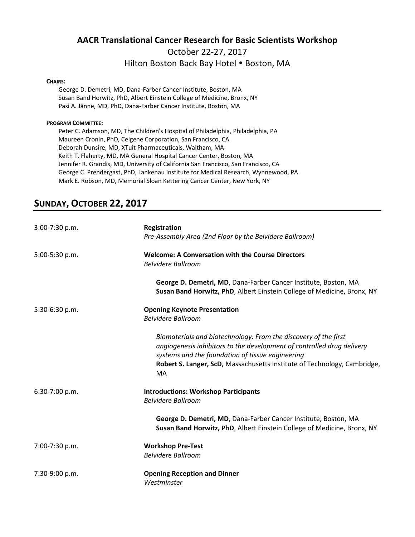# **AACR Translational Cancer Research for Basic Scientists Workshop**  October 22‐27, 2017

#### Hilton Boston Back Bay Hotel . Boston, MA

#### **CHAIRS:**

George D. Demetri, MD, Dana‐Farber Cancer Institute, Boston, MA Susan Band Horwitz, PhD, Albert Einstein College of Medicine, Bronx, NY Pasi A. Jänne, MD, PhD, Dana‐Farber Cancer Institute, Boston, MA

#### **PROGRAM COMMITTEE:**

Peter C. Adamson, MD, The Children's Hospital of Philadelphia, Philadelphia, PA Maureen Cronin, PhD, Celgene Corporation, San Francisco, CA Deborah Dunsire, MD, XTuit Pharmaceuticals, Waltham, MA Keith T. Flaherty, MD, MA General Hospital Cancer Center, Boston, MA Jennifer R. Grandis, MD, University of California San Francisco, San Francisco, CA George C. Prendergast, PhD, Lankenau Institute for Medical Research, Wynnewood, PA Mark E. Robson, MD, Memorial Sloan Kettering Cancer Center, New York, NY

## **SUNDAY, OCTOBER 22, 2017**

| 3:00-7:30 p.m. | Registration<br>Pre-Assembly Area (2nd Floor by the Belvidere Ballroom)                                                                                                                                                                                                         |
|----------------|---------------------------------------------------------------------------------------------------------------------------------------------------------------------------------------------------------------------------------------------------------------------------------|
| 5:00-5:30 p.m. | <b>Welcome: A Conversation with the Course Directors</b><br><b>Belvidere Ballroom</b>                                                                                                                                                                                           |
|                | George D. Demetri, MD, Dana-Farber Cancer Institute, Boston, MA<br>Susan Band Horwitz, PhD, Albert Einstein College of Medicine, Bronx, NY                                                                                                                                      |
| 5:30-6:30 p.m. | <b>Opening Keynote Presentation</b><br><b>Belvidere Ballroom</b>                                                                                                                                                                                                                |
|                | Biomaterials and biotechnology: From the discovery of the first<br>angiogenesis inhibitors to the development of controlled drug delivery<br>systems and the foundation of tissue engineering<br>Robert S. Langer, ScD, Massachusetts Institute of Technology, Cambridge,<br>MA |
| 6:30-7:00 p.m. | <b>Introductions: Workshop Participants</b><br><b>Belvidere Ballroom</b>                                                                                                                                                                                                        |
|                | George D. Demetri, MD, Dana-Farber Cancer Institute, Boston, MA<br>Susan Band Horwitz, PhD, Albert Einstein College of Medicine, Bronx, NY                                                                                                                                      |
| 7:00-7:30 p.m. | <b>Workshop Pre-Test</b><br><b>Belvidere Ballroom</b>                                                                                                                                                                                                                           |
| 7:30-9:00 p.m. | <b>Opening Reception and Dinner</b><br>Westminster                                                                                                                                                                                                                              |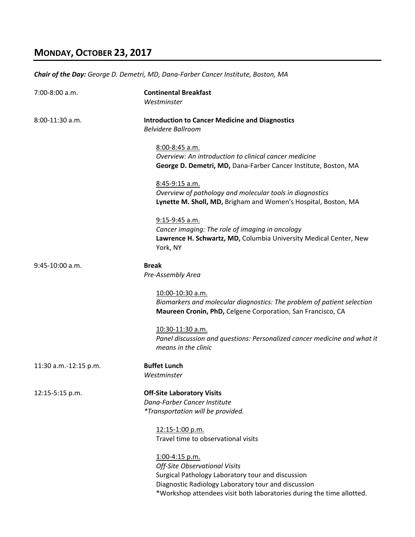### **MONDAY, OCTOBER 23, 2017**

*Chair of the Day: George D. Demetri, MD, Dana‐Farber Cancer Institute, Boston, MA*

7:00‐8:00 a.m. **Continental Breakfast**  *Westminster* 8:00‐11:30 a.m. **Introduction to Cancer Medicine and Diagnostics**  *Belvidere Ballroom*  8:00‐8:45 a.m. *Overview: An introduction to clinical cancer medicine*  **George D. Demetri, MD,** Dana‐Farber Cancer Institute, Boston, MA 8:45‐9:15 a.m. *Overview of pathology and molecular tools in diagnostics*  **Lynette M. Sholl, MD,** Brigham and Women's Hospital, Boston, MA 9:15‐9:45 a.m. *Cancer imaging: The role of imaging in oncology* **Lawrence H. Schwartz, MD,** Columbia University Medical Center, New York, NY 9:45‐10:00 a.m. **Break**   *Pre‐Assembly Area* 10:00‐10:30 a.m. *Biomarkers and molecular diagnostics: The problem of patient selection*  **Maureen Cronin, PhD,** Celgene Corporation, San Francisco, CA 10:30‐11:30 a.m. *Panel discussion and questions: Personalized cancer medicine and what it means in the clinic*  11:30 a.m.‐12:15 p.m. **Buffet Lunch**  *Westminster* 12:15‐5:15 p.m. **Off‐Site Laboratory Visits**  *Dana‐Farber Cancer Institute \*Transportation will be provided.*  12:15‐1:00 p.m. Travel time to observational visits 1:00‐4:15 p.m. *Off‐Site Observational Visits*  Surgical Pathology Laboratory tour and discussion

Diagnostic Radiology Laboratory tour and discussion

\*Workshop attendees visit both laboratories during the time allotted.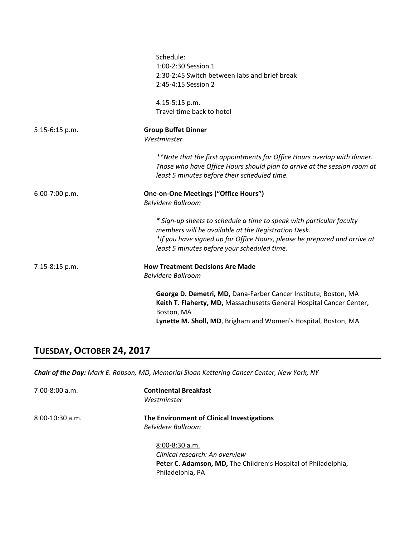|                | Schedule:<br>1:00-2:30 Session 1<br>2:30-2:45 Switch between labs and brief break<br>2:45-4:15 Session 2                                                                                                                                                |
|----------------|---------------------------------------------------------------------------------------------------------------------------------------------------------------------------------------------------------------------------------------------------------|
|                | 4:15-5:15 p.m.<br>Travel time back to hotel                                                                                                                                                                                                             |
| 5:15-6:15 p.m. | <b>Group Buffet Dinner</b><br>Westminster                                                                                                                                                                                                               |
|                | **Note that the first appointments for Office Hours overlap with dinner.<br>Those who have Office Hours should plan to arrive at the session room at<br>least 5 minutes before their scheduled time.                                                    |
| 6:00-7:00 p.m. | <b>One-on-One Meetings ("Office Hours")</b><br><b>Belvidere Ballroom</b>                                                                                                                                                                                |
|                | * Sign-up sheets to schedule a time to speak with particular faculty<br>members will be available at the Registration Desk.<br>*If you have signed up for Office Hours, please be prepared and arrive at<br>least 5 minutes before your scheduled time. |
| 7:15-8:15 p.m. | <b>How Treatment Decisions Are Made</b><br><b>Belvidere Ballroom</b>                                                                                                                                                                                    |
|                | George D. Demetri, MD, Dana-Farber Cancer Institute, Boston, MA<br>Keith T. Flaherty, MD, Massachusetts General Hospital Cancer Center,<br>Boston, MA                                                                                                   |
|                | Lynette M. Sholl, MD, Brigham and Women's Hospital, Boston, MA                                                                                                                                                                                          |

## **TUESDAY, OCTOBER 24, 2017**

*Chair of the Day: Mark E. Robson, MD, Memorial Sloan Kettering Cancer Center, New York, NY*

| $7:00-8:00$ a.m.  | <b>Continental Breakfast</b><br>Westminster                                                                                                |
|-------------------|--------------------------------------------------------------------------------------------------------------------------------------------|
| $8:00-10:30$ a.m. | The Environment of Clinical Investigations<br><b>Belvidere Ballroom</b>                                                                    |
|                   | $8:00 - 8:30$ a.m.<br>Clinical research: An overview<br>Peter C. Adamson, MD, The Children's Hospital of Philadelphia,<br>Philadelphia, PA |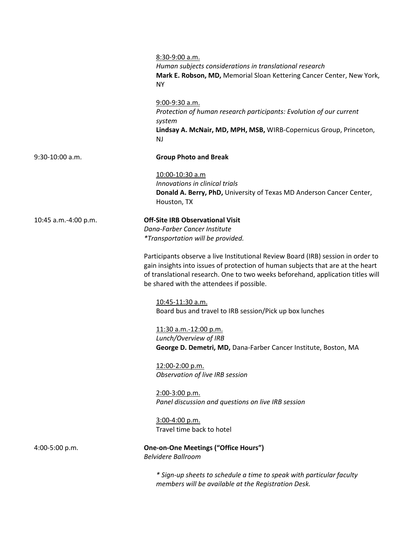|                      | 8:30-9:00 a.m.<br>Human subjects considerations in translational research<br>Mark E. Robson, MD, Memorial Sloan Kettering Cancer Center, New York,<br><b>NY</b>                                                                                                                                     |
|----------------------|-----------------------------------------------------------------------------------------------------------------------------------------------------------------------------------------------------------------------------------------------------------------------------------------------------|
|                      | 9:00-9:30 a.m.<br>Protection of human research participants: Evolution of our current<br>system<br>Lindsay A. McNair, MD, MPH, MSB, WIRB-Copernicus Group, Princeton,<br>NJ                                                                                                                         |
| 9:30-10:00 a.m.      | <b>Group Photo and Break</b>                                                                                                                                                                                                                                                                        |
|                      | 10:00-10:30 a.m<br>Innovations in clinical trials<br>Donald A. Berry, PhD, University of Texas MD Anderson Cancer Center,<br>Houston, TX                                                                                                                                                            |
| 10:45 a.m.-4:00 p.m. | <b>Off-Site IRB Observational Visit</b><br>Dana-Farber Cancer Institute<br>*Transportation will be provided.                                                                                                                                                                                        |
|                      | Participants observe a live Institutional Review Board (IRB) session in order to<br>gain insights into issues of protection of human subjects that are at the heart<br>of translational research. One to two weeks beforehand, application titles will<br>be shared with the attendees if possible. |
|                      | 10:45-11:30 a.m.<br>Board bus and travel to IRB session/Pick up box lunches                                                                                                                                                                                                                         |
|                      | 11:30 a.m.-12:00 p.m.<br>Lunch/Overview of IRB<br>George D. Demetri, MD, Dana-Farber Cancer Institute, Boston, MA                                                                                                                                                                                   |
|                      | 12:00-2:00 p.m.<br>Observation of live IRB session                                                                                                                                                                                                                                                  |
|                      | 2:00-3:00 p.m.<br>Panel discussion and questions on live IRB session                                                                                                                                                                                                                                |
|                      | 3:00-4:00 p.m.<br>Travel time back to hotel                                                                                                                                                                                                                                                         |
| 4:00-5:00 p.m.       | <b>One-on-One Meetings ("Office Hours")</b><br><b>Belvidere Ballroom</b>                                                                                                                                                                                                                            |
|                      | * Sign-up sheets to schedule a time to speak with particular faculty                                                                                                                                                                                                                                |

*members will be available at the Registration Desk.*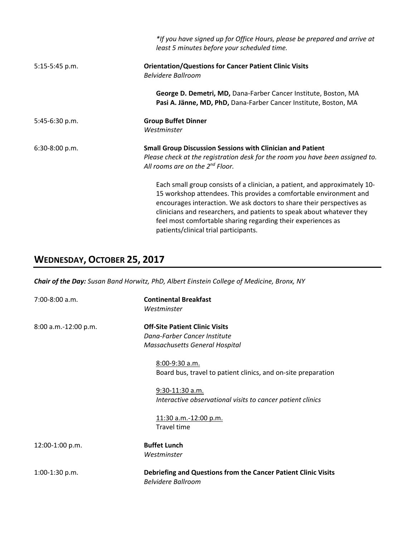|                | *If you have signed up for Office Hours, please be prepared and arrive at<br>least 5 minutes before your scheduled time.                                                                                                                                                                                                                                                                                    |
|----------------|-------------------------------------------------------------------------------------------------------------------------------------------------------------------------------------------------------------------------------------------------------------------------------------------------------------------------------------------------------------------------------------------------------------|
| 5:15-5:45 p.m. | <b>Orientation/Questions for Cancer Patient Clinic Visits</b><br><b>Belvidere Ballroom</b>                                                                                                                                                                                                                                                                                                                  |
|                | George D. Demetri, MD, Dana-Farber Cancer Institute, Boston, MA<br>Pasi A. Jänne, MD, PhD, Dana-Farber Cancer Institute, Boston, MA                                                                                                                                                                                                                                                                         |
| 5:45-6:30 p.m. | <b>Group Buffet Dinner</b><br>Westminster                                                                                                                                                                                                                                                                                                                                                                   |
| 6:30-8:00 p.m. | <b>Small Group Discussion Sessions with Clinician and Patient</b><br>Please check at the registration desk for the room you have been assigned to.<br>All rooms are on the 2 <sup>nd</sup> Floor.                                                                                                                                                                                                           |
|                | Each small group consists of a clinician, a patient, and approximately 10-<br>15 workshop attendees. This provides a comfortable environment and<br>encourages interaction. We ask doctors to share their perspectives as<br>clinicians and researchers, and patients to speak about whatever they<br>feel most comfortable sharing regarding their experiences as<br>patients/clinical trial participants. |

# **WEDNESDAY, OCTOBER 25, 2017**

*Chair of the Day: Susan Band Horwitz, PhD, Albert Einstein College of Medicine, Bronx, NY*

| $7:00-8:00$ a.m.     | <b>Continental Breakfast</b><br>Westminster                                                             |
|----------------------|---------------------------------------------------------------------------------------------------------|
| 8:00 a.m.-12:00 p.m. | <b>Off-Site Patient Clinic Visits</b><br>Dana-Farber Cancer Institute<br>Massachusetts General Hospital |
|                      | 8:00-9:30 a.m.<br>Board bus, travel to patient clinics, and on-site preparation                         |
|                      | $9:30-11:30$ a.m.<br>Interactive observational visits to cancer patient clinics                         |
|                      | 11:30 a.m.-12:00 p.m.<br><b>Travel time</b>                                                             |
| 12:00-1:00 p.m.      | <b>Buffet Lunch</b><br>Westminster                                                                      |
| $1:00-1:30$ p.m.     | Debriefing and Questions from the Cancer Patient Clinic Visits<br><b>Belvidere Ballroom</b>             |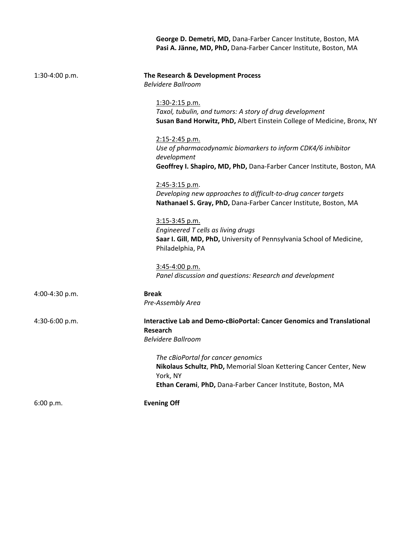**George D. Demetri, MD,** Dana‐Farber Cancer Institute, Boston, MA **Pasi A. Jänne, MD, PhD,** Dana‐Farber Cancer Institute, Boston, MA

| 1:30-4:00 p.m. | The Research & Development Process<br><b>Belvidere Ballroom</b>                                                                                                                     |
|----------------|-------------------------------------------------------------------------------------------------------------------------------------------------------------------------------------|
|                | 1:30-2:15 p.m.<br>Taxol, tubulin, and tumors: A story of drug development<br>Susan Band Horwitz, PhD, Albert Einstein College of Medicine, Bronx, NY                                |
|                | 2:15-2:45 p.m.<br>Use of pharmacodynamic biomarkers to inform CDK4/6 inhibitor<br>development<br>Geoffrey I. Shapiro, MD, PhD, Dana-Farber Cancer Institute, Boston, MA             |
|                | $2:45-3:15$ p.m.<br>Developing new approaches to difficult-to-drug cancer targets<br>Nathanael S. Gray, PhD, Dana-Farber Cancer Institute, Boston, MA                               |
|                | 3:15-3:45 p.m.<br>Engineered T cells as living drugs<br>Saar I. Gill, MD, PhD, University of Pennsylvania School of Medicine,<br>Philadelphia, PA                                   |
|                | 3:45-4:00 p.m.<br>Panel discussion and questions: Research and development                                                                                                          |
| 4:00-4:30 p.m. | <b>Break</b><br>Pre-Assembly Area                                                                                                                                                   |
| 4:30-6:00 p.m. | <b>Interactive Lab and Demo-cBioPortal: Cancer Genomics and Translational</b><br>Research<br><b>Belvidere Ballroom</b>                                                              |
|                | The cBioPortal for cancer genomics<br>Nikolaus Schultz, PhD, Memorial Sloan Kettering Cancer Center, New<br>York, NY<br>Ethan Cerami, PhD, Dana-Farber Cancer Institute, Boston, MA |
| 6:00 p.m.      | <b>Evening Off</b>                                                                                                                                                                  |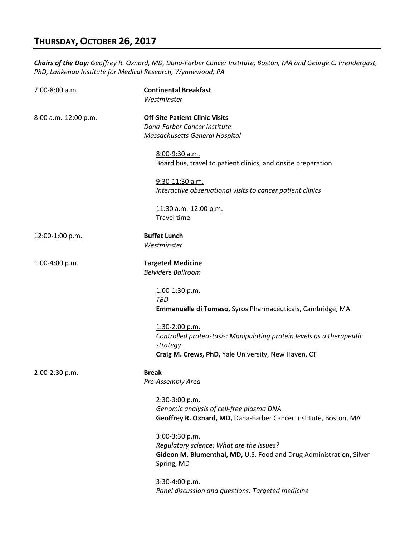## **THURSDAY, OCTOBER 26, 2017**

*Chairs of the Day: Geoffrey R. Oxnard, MD, Dana‐Farber Cancer Institute, Boston, MA and George C. Prendergast, PhD, Lankenau Institute for Medical Research, Wynnewood, PA*

| 7:00-8:00 a.m.       | <b>Continental Breakfast</b><br>Westminster                                                                                                                |
|----------------------|------------------------------------------------------------------------------------------------------------------------------------------------------------|
| 8:00 a.m.-12:00 p.m. | <b>Off-Site Patient Clinic Visits</b><br>Dana-Farber Cancer Institute<br>Massachusetts General Hospital                                                    |
|                      | 8:00-9:30 a.m.<br>Board bus, travel to patient clinics, and onsite preparation                                                                             |
|                      | 9:30-11:30 a.m.<br>Interactive observational visits to cancer patient clinics                                                                              |
|                      | 11:30 a.m.-12:00 p.m.<br><b>Travel time</b>                                                                                                                |
| 12:00-1:00 p.m.      | <b>Buffet Lunch</b><br>Westminster                                                                                                                         |
| 1:00-4:00 p.m.       | <b>Targeted Medicine</b><br><b>Belvidere Ballroom</b>                                                                                                      |
|                      | 1:00-1:30 p.m.<br><b>TBD</b><br>Emmanuelle di Tomaso, Syros Pharmaceuticals, Cambridge, MA                                                                 |
|                      | 1:30-2:00 p.m.<br>Controlled proteostasis: Manipulating protein levels as a therapeutic<br>strategy<br>Craig M. Crews, PhD, Yale University, New Haven, CT |
| 2:00-2:30 p.m.       | <b>Break</b><br>Pre-Assembly Area                                                                                                                          |
|                      | 2:30-3:00 p.m.<br>Genomic analysis of cell-free plasma DNA<br>Geoffrey R. Oxnard, MD, Dana-Farber Cancer Institute, Boston, MA                             |
|                      | 3:00-3:30 p.m.<br>Regulatory science: What are the issues?<br>Gideon M. Blumenthal, MD, U.S. Food and Drug Administration, Silver<br>Spring, MD            |
|                      | 3:30-4:00 p.m.<br>Panel discussion and questions: Targeted medicine                                                                                        |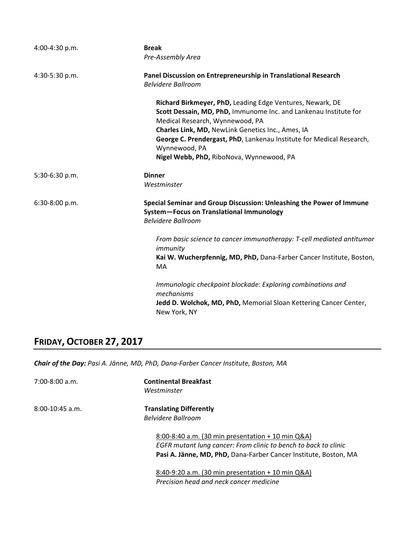| $4:00-4:30 p.m.$ | <b>Break</b>                                                                                                                                                     |
|------------------|------------------------------------------------------------------------------------------------------------------------------------------------------------------|
|                  | Pre-Assembly Area                                                                                                                                                |
| 4:30-5:30 p.m.   | Panel Discussion on Entrepreneurship in Translational Research<br><b>Belvidere Ballroom</b>                                                                      |
|                  | Richard Birkmeyer, PhD, Leading Edge Ventures, Newark, DE<br>Scott Dessain, MD, PhD, Immunome Inc. and Lankenau Institute for<br>Medical Research, Wynnewood, PA |
|                  | Charles Link, MD, NewLink Genetics Inc., Ames, IA                                                                                                                |
|                  | George C. Prendergast, PhD, Lankenau Institute for Medical Research,<br>Wynnewood, PA                                                                            |
|                  | Nigel Webb, PhD, RiboNova, Wynnewood, PA                                                                                                                         |
| 5:30-6:30 p.m.   | <b>Dinner</b>                                                                                                                                                    |
|                  | Westminster                                                                                                                                                      |
| 6:30-8:00 p.m.   | Special Seminar and Group Discussion: Unleashing the Power of Immune<br>System-Focus on Translational Immunology<br><b>Belvidere Ballroom</b>                    |
|                  | From basic science to cancer immunotherapy: T-cell mediated antitumor<br>immunity                                                                                |
|                  | Kai W. Wucherpfennig, MD, PhD, Dana-Farber Cancer Institute, Boston,<br>MA                                                                                       |
|                  | Immunologic checkpoint blockade: Exploring combinations and<br>mechanisms                                                                                        |
|                  | Jedd D. Wolchok, MD, PhD, Memorial Sloan Kettering Cancer Center,<br>New York, NY                                                                                |

## **FRIDAY, OCTOBER 27, 2017**

*Chair of the Day: Pasi A. Jänne, MD, PhD, Dana‐Farber Cancer Institute, Boston, MA* 

7:00‐8:00 a.m. **Continental Breakfast**  *Westminster* 8:00‐10:45 a.m. **Translating Differently**  *Belvidere Ballroom*  8:00‐8:40 a.m. (30 min presentation + 10 min Q&A) *EGFR mutant lung cancer: From clinic to bench to back to clinic* **Pasi A. Jänne, MD, PhD,** Dana‐Farber Cancer Institute, Boston, MA 8:40‐9:20 a.m. (30 min presentation + 10 min Q&A)

*Precision head and neck cancer medicine*